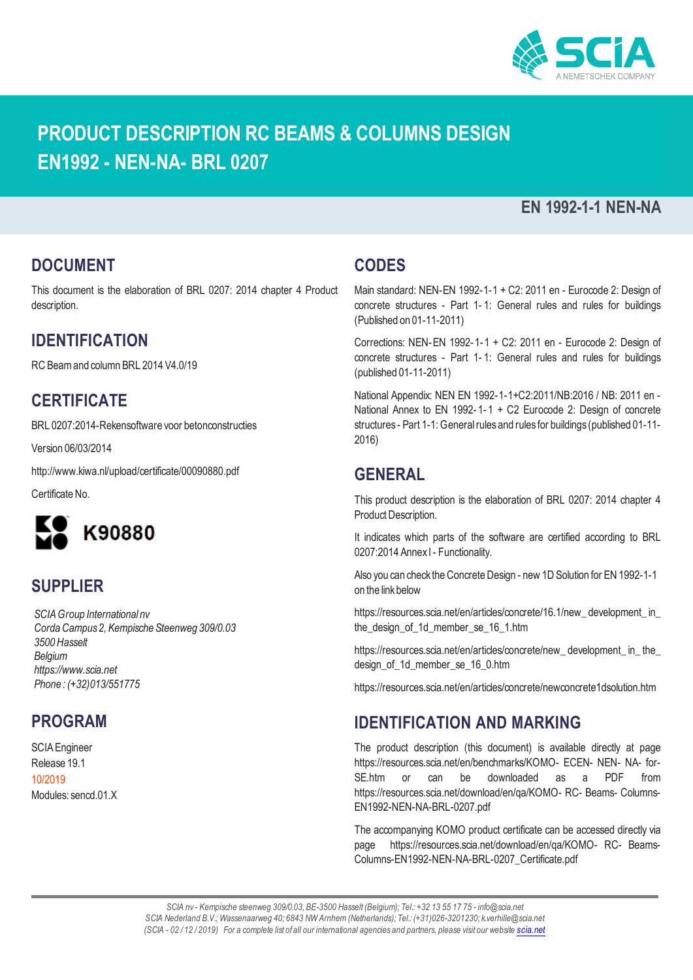

# **PRODUCT DESCRIPTION RC BEAMS & COLUMNS DESIGN EN1992 - NEN-NA- BRL 0207**

### **EN 1992-1-1 NEN-NA**

### **DOCUMENT**

This document is the elaboration of BRL 0207: 2014 chapter 4 Product description.

### **IDENTIFICATION**

RC Beamand column BRL 2014 V4.0/19

## **CERTIFICATE**

BRL 0207:2014-Rekensoftware voor betonconstructies

Version 06/03/2014

http://www.kiwa.nl/upload/certificate/00090880.pdf

Certificate No.



### **SUPPLIER**

*SCIAGroup International nv CordaCampus 2, Kempische Steenweg 309/0.03 3500Hasselt Belgium https://www.scia.net Phone : (+32)013/551775*

### **PROGRAM**

SCIA Engineer Release 19.1 10/2019 Modules: sencd.01.X

#### **CODES**

Main standard: NEN-EN 1992-1-1 + C2: 2011 en - Eurocode 2: Design of concrete structures - Part 1- 1: General rules and rules for buildings (Published on 01-11-2011)

Corrections: NEN-EN 1992-1-1 + C2: 2011 en - Eurocode 2: Design of concrete structures - Part 1- 1: General rules and rules for buildings (published 01-11-2011)

National Appendix: NEN EN 1992-1-1+C2:2011/NB:2016 / NB: 2011 en - National Annex to EN 1992-1-1 + C2 Eurocode 2: Design of concrete structures - Part 1-1: General rules and rules for buildings (published 01-11-2016)

## **GENERAL**

This product description is the elaboration of BRL 0207: 2014 chapter 4 Product Description.

It indicates which parts of the software are certified according to BRL 0207:2014 Annex I - Functionality.

Also you can check the Concrete Design - new 1D Solution for EN 1992-1-1 on the link below

https://resources.scia.net/en/articles/concrete/16.1/new\_development\_ in the\_design\_of\_1d\_member\_se\_16\_1.htm

https://resources.scia.net/en/articles/concrete/new\_ development\_ in\_ the\_ design\_of\_1d\_member\_se\_16\_0.htm

https://resources.scia.net/en/articles/concrete/newconcrete1dsolution.htm

### **IDENTIFICATION AND MARKING**

The product description (this document) is available directly at page https://resources.scia.net/en/benchmarks/KOMO- ECEN- NEN- NA- for-SE.htm or can be downloaded as a PDF from https://resources.scia.net/download/en/qa/KOMO- RC- Beams- Columns-EN1992-NEN-NA-BRL-0207.pdf

The accompanying KOMO product certificate can be accessed directly via page https://resources.scia.net/download/en/qa/KOMO- RC- Beams-Columns-EN1992-NEN-NA-BRL-0207\_Certificate.pdf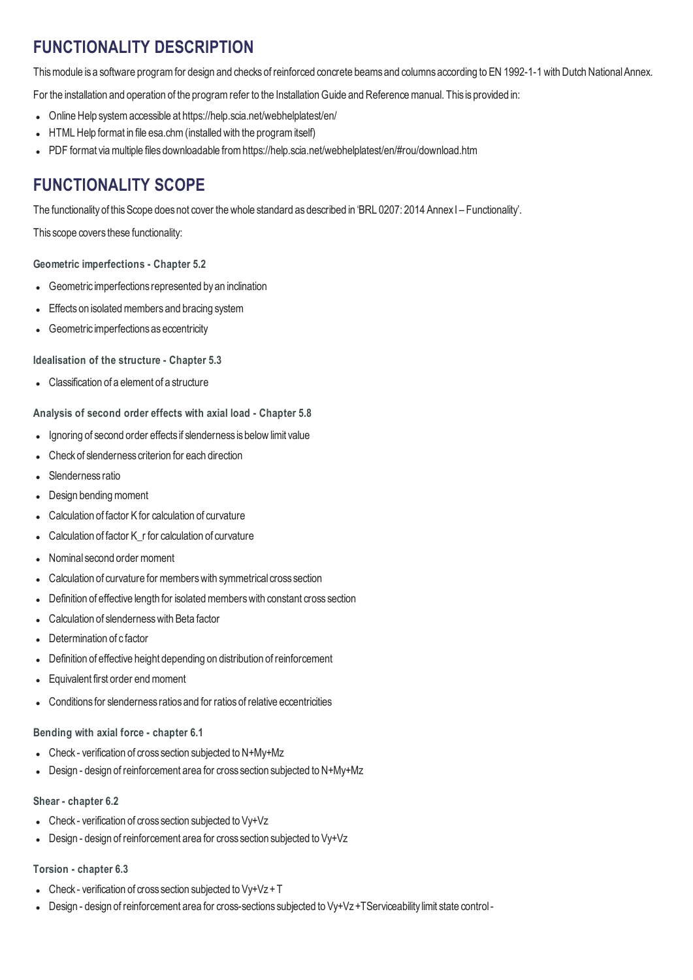# **FUNCTIONALITY DESCRIPTION**

This module is a software program for design and checks of reinforced concrete beams and columns according to EN 1992-1-1 with Dutch National Annex.

For the installation and operation of the program refer to the Installation Guide and Reference manual. This is provided in:

- Online Help system accessible at https://help.scia.net/webhelplatest/en/
- HTML Help format in file esa.chm (installed with the program itself)
- PDF format via multiple files downloadable from https://help.scia.net/webhelplatest/en/#rou/download.htm

# **FUNCTIONALITY SCOPE**

The functionality of this Scope does not cover the whole standard as described in 'BRL 0207: 2014 Annex I – Functionality'.

This scope covers these functionality:

**Geometric imperfections - Chapter 5.2**

- Geometric imperfections represented by an inclination
- Effects on isolated members and bracing system
- Geometric imperfections as eccentricity

**Idealisation of the structure - Chapter 5.3**

<sup>l</sup> Classification of a element of a structure

**Analysis of second order effects with axial load - Chapter 5.8**

- Ignoring of second order effects if slenderness is below limit value
- Check of slenderness criterion for each direction
- Slenderness ratio
- Design bending moment
- Calculation of factor K for calculation of curvature
- Calculation of factor K\_r for calculation of curvature
- Nominal second order moment
- Calculation of curvature for members with symmetrical cross section
- Definition of effective length for isolated members with constant cross section
- Calculation of slenderness with Beta factor
- Determination of c factor
- Definition of effective height depending on distribution of reinforcement
- Equivalent first order end moment
- <sup>l</sup> Conditions for slenderness ratios and for ratios of relative eccentricities

#### **Bending with axial force - chapter 6.1**

- Check verification of cross section subjected to N+My+Mz
- Design design of reinforcement area for cross section subjected to N+My+Mz

#### **Shear - chapter 6.2**

- <sup>l</sup> Check verification of cross section subjected to Vy+Vz
- <sup>l</sup> Design design of reinforcement area for cross section subjected to Vy+Vz

#### **Torsion - chapter 6.3**

- <sup>l</sup> Check verification of cross section subjected to Vy+Vz+T
- <sup>l</sup> Design design of reinforcement area for cross-sections subjected to Vy+Vz+TServiceability limit state control-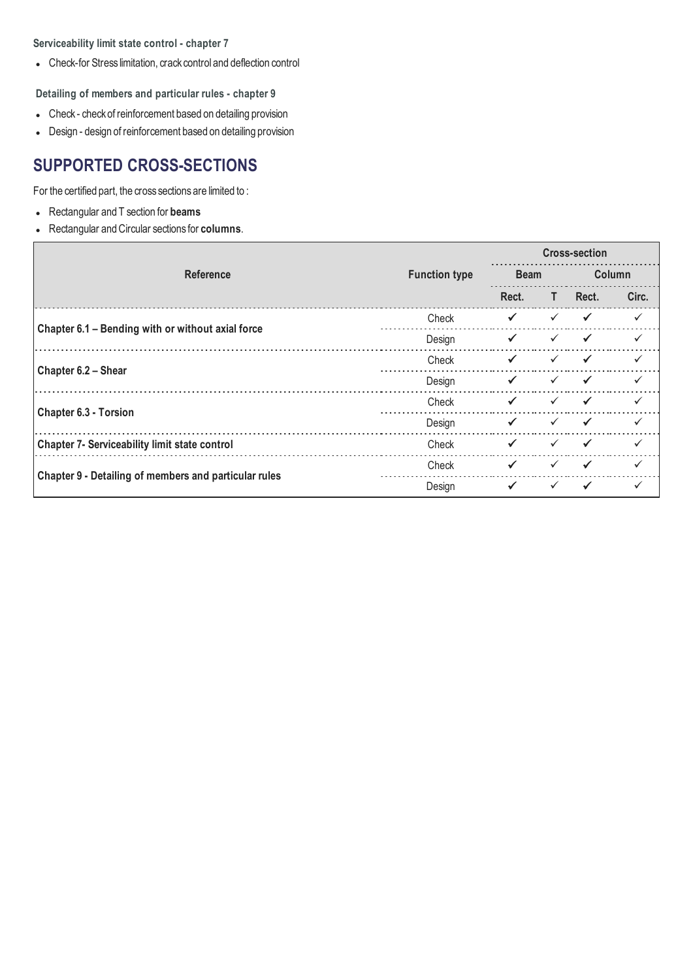**Serviceability limit state control - chapter 7**

• Check-for Stress limitation, crack control and deflection control

**Detailing of members and particular rules - chapter 9**

- Check check of reinforcement based on detailing provision
- Design design of reinforcement based on detailing provision

### **SUPPORTED CROSS-SECTIONS**

For the certified part, the cross sections are limited to :

- **e** Rectangular and T section for **beams**
- <sup>l</sup> Rectangular andCircular sections for **columns**.

|                                                       |                      | <b>Cross-section</b> |    |              |              |
|-------------------------------------------------------|----------------------|----------------------|----|--------------|--------------|
| <b>Reference</b>                                      | <b>Function type</b> | <b>Beam</b>          |    | Column       |              |
|                                                       |                      | Rect.                | T. | Rect.        | Circ.        |
|                                                       | Check                |                      |    | ✓            | ✓            |
| Chapter 6.1 - Bending with or without axial force     | Design               |                      | ✓  | ✔            | ✓            |
| Chapter 6.2 - Shear                                   | Check                |                      | ✓  | $\checkmark$ | ✓            |
|                                                       | Design               | ✓                    | ✓  | $\checkmark$ | $\checkmark$ |
| <b>Chapter 6.3 - Torsion</b>                          | Check                |                      | ✓  | $\checkmark$ |              |
|                                                       | Design               |                      | ✓  | $\checkmark$ | ✓            |
| <b>Chapter 7- Serviceability limit state control</b>  | Check                |                      | ✓  | ✓            |              |
|                                                       | Check                |                      |    | ✓            |              |
| Chapter 9 - Detailing of members and particular rules | Design               | $\checkmark$         | ✓  | $\checkmark$ | ✓            |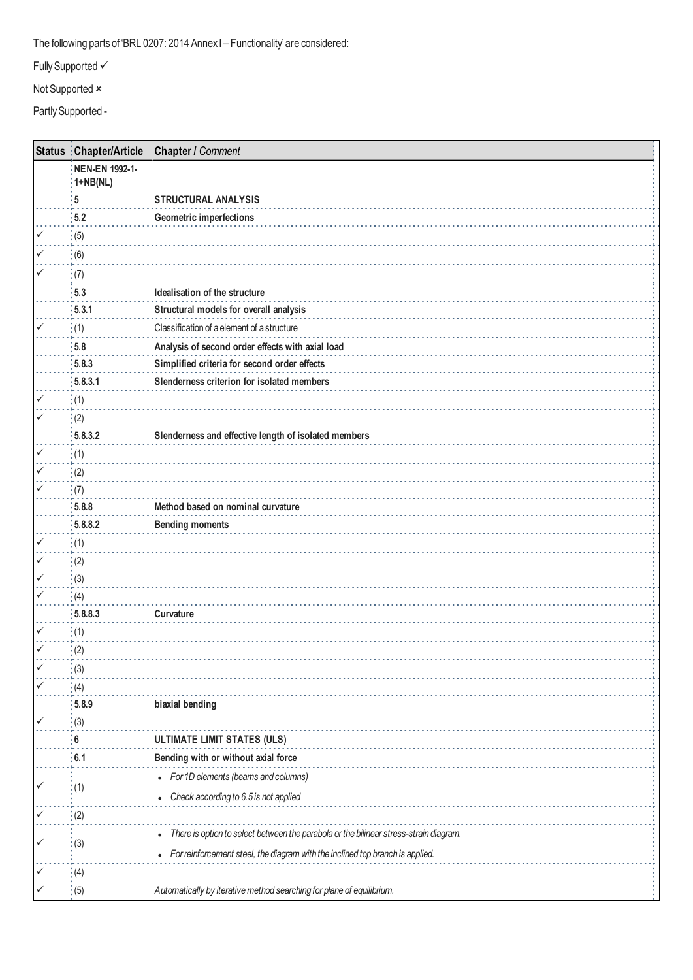The following parts of 'BRL 0207: 2014 Annex I – Functionality' are considered:

Fully Supported  $\checkmark$ 

Not Supported  $\star$ 

PartlySupported **-**

|              |                                     | Status Chapter/Article Chapter / Comment                                                           |  |  |
|--------------|-------------------------------------|----------------------------------------------------------------------------------------------------|--|--|
|              | <b>NEN-EN 1992-1-</b><br>$4+NB(NL)$ |                                                                                                    |  |  |
|              | $\frac{1}{3}$                       | <b>STRUCTURAL ANALYSIS</b>                                                                         |  |  |
|              | $\frac{1}{2}$ 5.2                   | Geometric imperfections                                                                            |  |  |
| ✓            | (5)                                 |                                                                                                    |  |  |
| ✓            | $\frac{1}{2}$ (6)                   |                                                                                                    |  |  |
|              | $\frac{1}{2}$ (7)                   |                                                                                                    |  |  |
|              | 5.3                                 | Idealisation of the structure                                                                      |  |  |
|              | 5.3.1                               | Structural models for overall analysis                                                             |  |  |
| ✓            | $\frac{1}{2}$ (1)                   | Classification of a element of a structure                                                         |  |  |
|              | 5.8                                 | Analysis of second order effects with axial load                                                   |  |  |
|              | 5.8.3                               | Simplified criteria for second order effects                                                       |  |  |
|              | 5.8.3.1                             | Slenderness criterion for isolated members                                                         |  |  |
|              | $\frac{1}{2}$ (1)                   |                                                                                                    |  |  |
| ✓            | (2)                                 |                                                                                                    |  |  |
|              | 5.8.3.2                             | Slenderness and effective length of isolated members                                               |  |  |
| ✓            | $\frac{1}{2}$ (1)                   |                                                                                                    |  |  |
| ✓            | $\frac{1}{2}$ (2)                   |                                                                                                    |  |  |
|              | $\frac{1}{2}$ (7)                   |                                                                                                    |  |  |
|              | 5.8.8                               | Method based on nominal curvature                                                                  |  |  |
|              | 5.8.8.2                             | <b>Bending moments</b>                                                                             |  |  |
| ✓            | $\frac{1}{2}$ (1)                   |                                                                                                    |  |  |
| ✓            | $\frac{1}{2}$ (2)                   |                                                                                                    |  |  |
| ✓            | $\frac{1}{2}(3)$                    |                                                                                                    |  |  |
| $\checkmark$ | $\frac{1}{2}(4)$                    |                                                                                                    |  |  |
|              | 5.8.8.3                             | Curvature                                                                                          |  |  |
| ✓            | $\frac{1}{2}$ (1)                   |                                                                                                    |  |  |
| $\checkmark$ | $\frac{1}{2}$ (2)                   |                                                                                                    |  |  |
|              | $\frac{1}{2}(3)$                    |                                                                                                    |  |  |
|              | (4)                                 |                                                                                                    |  |  |
|              | 5.8.9                               | biaxial bending                                                                                    |  |  |
|              | $\frac{1}{2}(3)$                    |                                                                                                    |  |  |
|              | $\boldsymbol{6}$                    | <b>ULTIMATE LIMIT STATES (ULS)</b>                                                                 |  |  |
|              | 6.1                                 | Bending with or without axial force                                                                |  |  |
|              | $\frac{1}{2}$ (1)                   | • For 1D elements (beams and columns)                                                              |  |  |
|              |                                     | Check according to 6.5 is not applied                                                              |  |  |
|              | $\frac{1}{2}$ (2)                   |                                                                                                    |  |  |
|              | (3)                                 | There is option to select between the parabola or the bilinear stress-strain diagram.<br>$\bullet$ |  |  |
|              |                                     | For reinforcement steel, the diagram with the inclined top branch is applied.                      |  |  |
|              | (4)                                 |                                                                                                    |  |  |
|              | (5)                                 | Automatically by iterative method searching for plane of equilibrium.                              |  |  |
|              |                                     |                                                                                                    |  |  |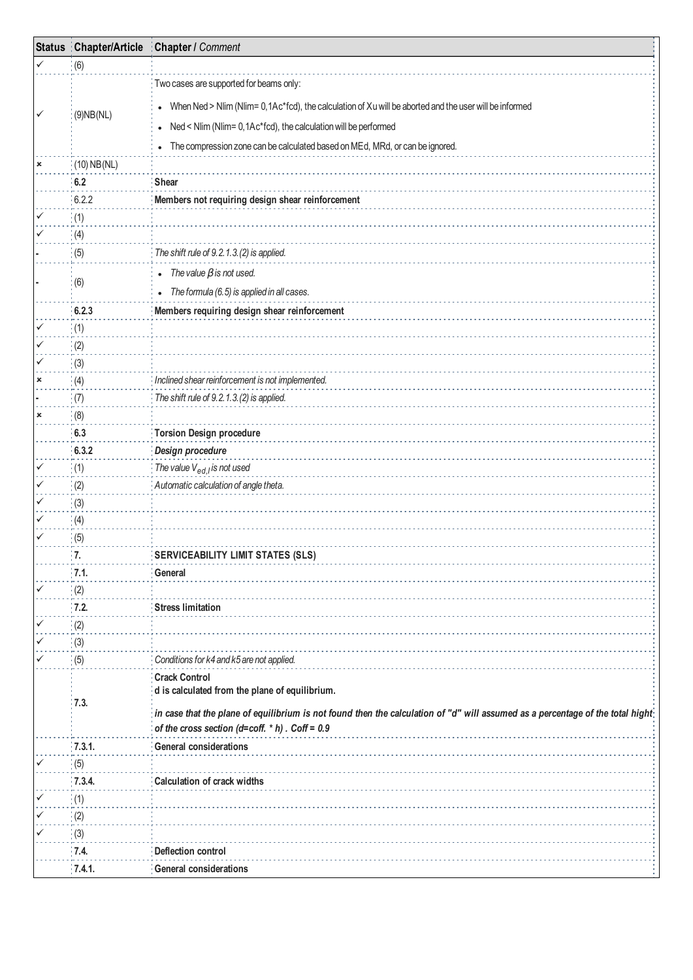|                |                                         | Status Chapter/Article Chapter / Comment                                                                                        |
|----------------|-----------------------------------------|---------------------------------------------------------------------------------------------------------------------------------|
|                | $\frac{1}{1}(6)$                        |                                                                                                                                 |
|                |                                         | Two cases are supported for beams only:                                                                                         |
|                |                                         | • When Ned > Nlim (Nlim= 0, 1Ac*fcd), the calculation of Xu will be aborted and the user will be informed                       |
|                | (9)NB(NL)                               | Ned < Nlim (Nlim= 0, 1Ac*fcd), the calculation will be performed<br>$\bullet$                                                   |
|                |                                         | • The compression zone can be calculated based on MEd, MRd, or can be ignored.                                                  |
| $\pmb{\times}$ | $(10)$ NB(NL)                           |                                                                                                                                 |
|                | 6.2                                     | Shear                                                                                                                           |
|                | 6.2.2                                   | Members not requiring design shear reinforcement                                                                                |
|                | $\frac{1}{2}$ (1)                       |                                                                                                                                 |
|                | $\frac{1}{2}(4)$                        |                                                                                                                                 |
|                | (5)                                     | The shift rule of 9.2.1.3.(2) is applied.                                                                                       |
|                |                                         | • The value $\beta$ is not used.                                                                                                |
|                | (6)                                     | $\bullet$ The formula (6.5) is applied in all cases.                                                                            |
|                | 6.2.3                                   | Members requiring design shear reinforcement                                                                                    |
|                | $\frac{1}{2}$ (1)                       |                                                                                                                                 |
|                | $\frac{1}{2}$ (2)                       |                                                                                                                                 |
|                | $\frac{1}{2}(3)$                        |                                                                                                                                 |
| ×              | $\frac{1}{2}(4)$                        | Inclined shear reinforcement is not implemented.                                                                                |
|                | $\frac{1}{2}$ (7)                       | The shift rule of 9.2.1.3.(2) is applied.                                                                                       |
| ×              | $\frac{1}{2}$ (8)                       |                                                                                                                                 |
|                | 6.3                                     | <b>Torsion Design procedure</b>                                                                                                 |
|                | 6.3.2                                   | Design procedure                                                                                                                |
| ✓              | $\frac{1}{2}$ (1)                       | The value $V_{ed, I}$ is not used                                                                                               |
|                | (2)                                     | Automatic calculation of angle theta.                                                                                           |
|                | $\frac{1}{2}$ (3)                       |                                                                                                                                 |
|                | $\frac{1}{2}(4)$                        |                                                                                                                                 |
|                | $\frac{1}{2}$ (5)                       |                                                                                                                                 |
|                | $\frac{1}{2}7.$                         | <b>SERVICEABILITY LIMIT STATES (SLS)</b>                                                                                        |
|                | $\frac{1}{2}$ 7.1.                      | General                                                                                                                         |
|                | $\frac{1}{2}$ (2)<br>$\frac{1}{2}$ 7.2. |                                                                                                                                 |
|                |                                         | <b>Stress limitation</b>                                                                                                        |
|                | $\cdot$ (2)                             |                                                                                                                                 |
|                | $\frac{1}{2}(3)$                        |                                                                                                                                 |
|                | (5)                                     | Conditions for k4 and k5 are not applied.<br><b>Crack Control</b>                                                               |
|                | $\frac{1}{2}$ .                         | d is calculated from the plane of equilibrium.                                                                                  |
|                |                                         | in case that the plane of equilibrium is not found then the calculation of "d" will assumed as a percentage of the total hight; |
|                |                                         | of the cross section (d=coff. $*$ h). Coff = 0.9                                                                                |
|                | $7.3.1$ .                               | <b>General considerations</b>                                                                                                   |
|                | (5)                                     |                                                                                                                                 |
|                | 7.3.4.                                  | <b>Calculation of crack widths</b>                                                                                              |
|                | $\frac{1}{2}$ (1)                       |                                                                                                                                 |
|                | (2)                                     |                                                                                                                                 |
|                | $\frac{1}{2}(3)$                        |                                                                                                                                 |
|                | .7.4.                                   | Deflection control                                                                                                              |
|                | 7.4.1.                                  | General considerations                                                                                                          |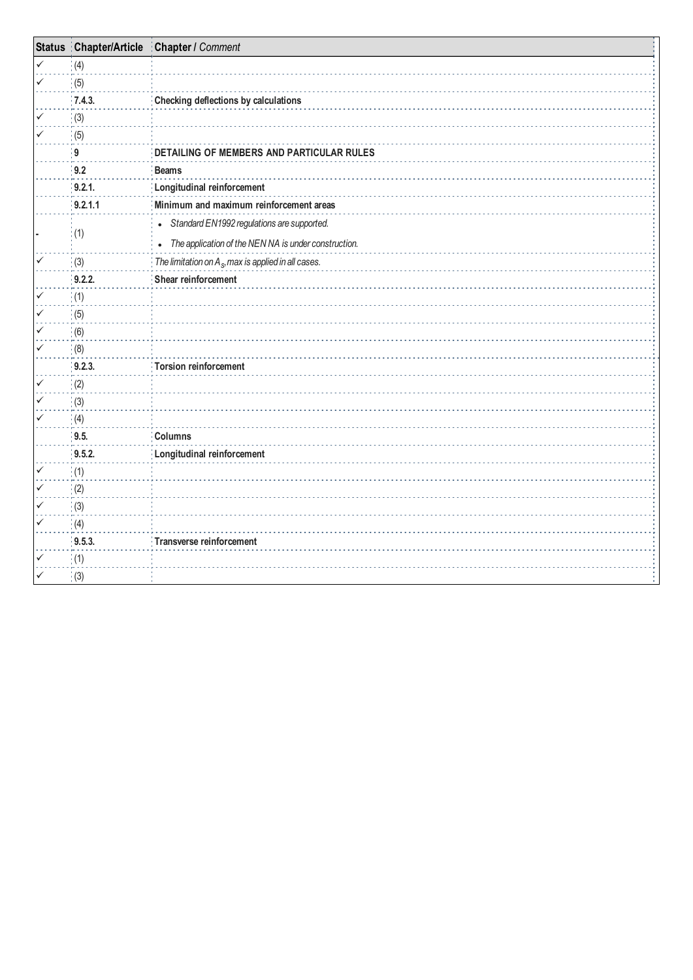|   |                   | Status Chapter/Article Chapter / Comment               |
|---|-------------------|--------------------------------------------------------|
|   | (4)               |                                                        |
|   | (5)               |                                                        |
|   | 7.4.3.            | <b>Checking deflections by calculations</b>            |
|   | $\frac{1}{2}(3)$  |                                                        |
|   | (5)               |                                                        |
|   | $\frac{1}{2}9$    | DETAILING OF MEMBERS AND PARTICULAR RULES              |
|   | 9.2               | <b>Beams</b>                                           |
|   | 9.2.1             | Longitudinal reinforcement                             |
|   | 9.2.1.1           | Minimum and maximum reinforcement areas                |
|   |                   | • Standard EN1992 regulations are supported.           |
|   | $\frac{1}{2}$ (1) | • The application of the NEN NA is under construction. |
| ✓ | $\frac{1}{2}$ (3) | The limitation on $A_s$ , max is applied in all cases. |
|   | 9.2.2             | Shear reinforcement                                    |
| ✓ | $\frac{1}{2}$ (1) |                                                        |
|   | $\frac{1}{2}$ (5) |                                                        |
|   | (6)               |                                                        |
| ✓ | $\frac{1}{2}$ (8) |                                                        |
|   | 9.2.3             | <b>Torsion reinforcement</b>                           |
| ✓ | $\frac{1}{2}$ (2) |                                                        |
| ✓ | $\frac{1}{2}$ (3) |                                                        |
|   | $\frac{1}{2}(4)$  |                                                        |
|   | 9.5.              | Columns                                                |
|   | 9.5.2             | Longitudinal reinforcement                             |
| ✓ | $\frac{1}{2}$ (1) |                                                        |
| ✓ | $\frac{1}{2}$ (2) |                                                        |
|   | $\frac{1}{2}$ (3) |                                                        |
|   | $\frac{1}{2}(4)$  |                                                        |
|   | 9.5.3.            | Transverse reinforcement                               |
|   | $\frac{1}{2}$ (1) |                                                        |
| ✓ | $\frac{1}{2}(3)$  |                                                        |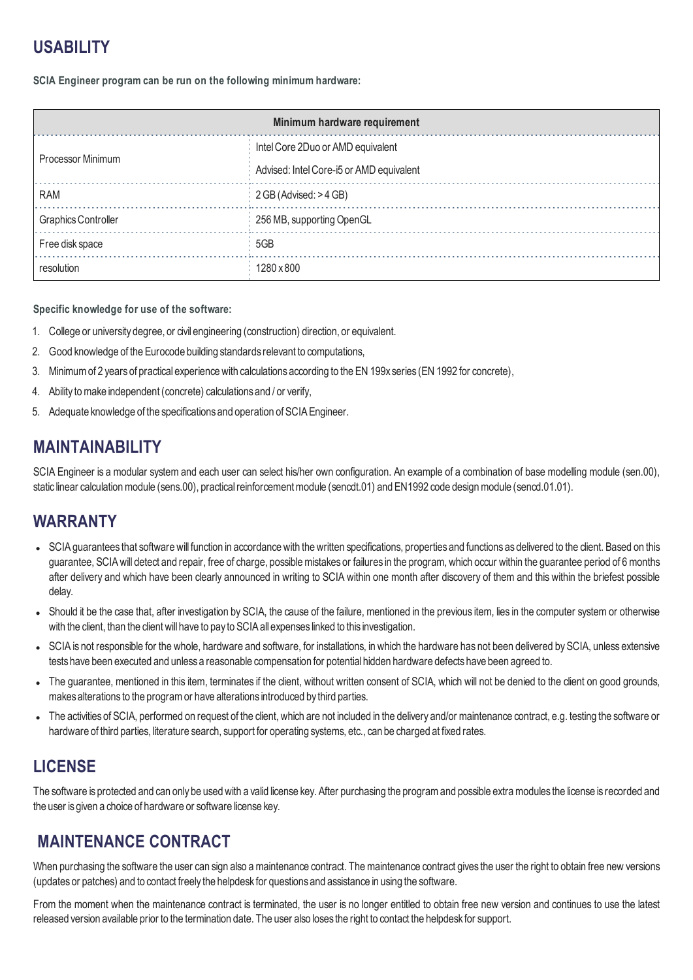# **USABILITY**

**SCIA Engineer program can be run on the following minimum hardware:**

| Minimum hardware requirement |                                          |  |
|------------------------------|------------------------------------------|--|
| <b>Processor Minimum</b>     | Intel Core 2Duo or AMD equivalent        |  |
|                              | Advised: Intel Core-i5 or AMD equivalent |  |
| <b>RAM</b>                   | 2 GB (Advised: > 4 GB)                   |  |
| <b>Graphics Controller</b>   | 256 MB, supporting OpenGL                |  |
| Free disk space              | 5GB                                      |  |
| resolution                   | 1280 x 800                               |  |

#### **Specific knowledge for use of the software:**

- 1. College or university degree, or civil engineering (construction) direction, or equivalent.
- 2. Good knowledge of the Eurocode building standards relevant to computations,
- 3. Minimumof 2 years of practical experiencewith calculations according to the EN 199x series (EN 1992 for concrete),
- 4. Ability to make independent (concrete) calculations and / or verify,
- 5. Adequate knowledge of the specifications and operation of SCIAEngineer.

## **MAINTAINABILITY**

SCIA Engineer is a modular system and each user can select his/her own configuration. An example of a combination of base modelling module (sen.00), static linear calculation module (sens.00), practical reinforcement module (sencdt.01) and EN1992 code design module (sencd.01.01).

### **WARRANTY**

- <sup>l</sup> SCIAguarantees that software will function in accordance with the written specifications, properties and functions as delivered to the client. Based on this guarantee, SCIA will detect and repair, free of charge, possible mistakes or failures in the program, which occur within the guarantee period of 6 months after delivery and which have been clearly announced in writing to SCIA within one month after discovery of them and this within the briefest possible delay.
- Should it be the case that, after investigation by SCIA, the cause of the failure, mentioned in the previous item, lies in the computer system or otherwise with the client, than the client will have to pay to SCIA all expenses linked to this investigation.
- SCIA is not responsible for the whole, hardware and software, for installations, in which the hardware has not been delivered by SCIA, unless extensive tests have been executed and unless a reasonable compensation for potential hidden hardware defects have been agreed to.
- The guarantee, mentioned in this item, terminates if the client, without written consent of SCIA, which will not be denied to the client on good grounds, makes alterations to the programor have alterations introduced by third parties.
- <sup>l</sup> The activities of SCIA, performed on request of the client, which are not included in the delivery and/or maintenance contract, e.g. testing the software or hardware of third parties, literature search, support for operating systems, etc., can be charged at fixed rates.

### **LICENSE**

The software is protected and can only be used with a valid license key. After purchasing the program and possible extra modules the license is recorded and the user is given a choice of hardware or software license key.

# **MAINTENANCE CONTRACT**

When purchasing the software the user can sign also a maintenance contract. The maintenance contract gives the user the right to obtain free new versions (updates or patches) and to contact freely the helpdesk for questions and assistance in using the software.

From the moment when the maintenance contract is terminated, the user is no longer entitled to obtain free new version and continues to use the latest released version available prior to the termination date. The user also loses the right to contact the helpdesk for support.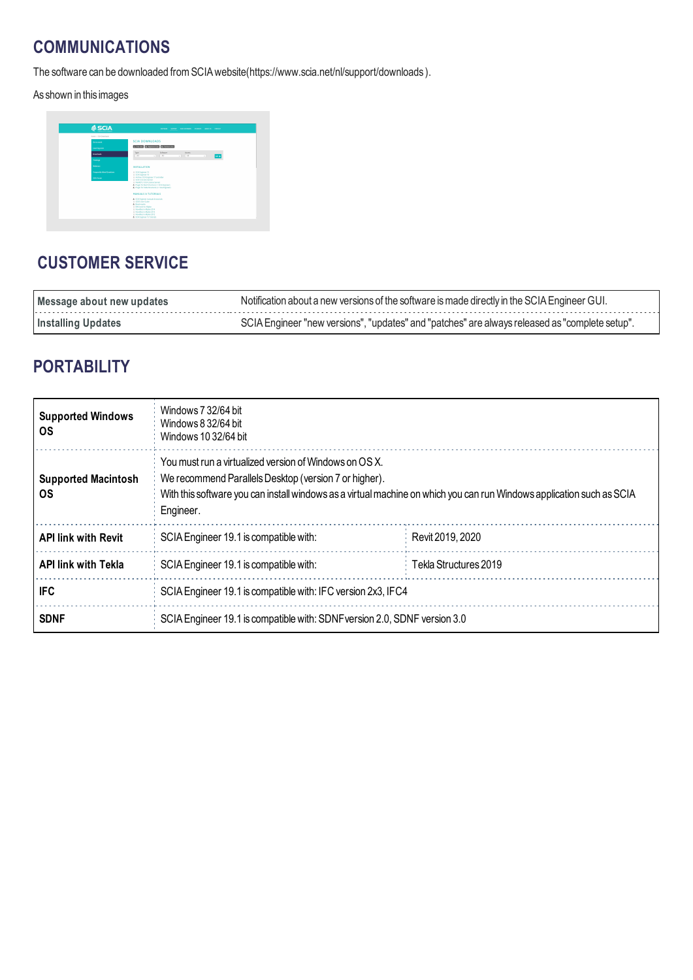# **COMMUNICATIONS**

The software can be downloaded fromSCIA website(https://www.scia.net/nl/support/downloads ).

As shown in this images



# **CUSTOMER SERVICE**

| Message about new updates | Notification about a new versions of the software is made directly in the SCIA Engineer GUI.   |
|---------------------------|------------------------------------------------------------------------------------------------|
| <b>Installing Updates</b> | SCIA Engineer "new versions", "updates" and "patches" are always released as "complete setup". |

# **PORTABILITY**

| <b>Supported Windows</b><br>ΟS   | Windows 7 32/64 bit<br>Windows 8 32/64 bit<br>Windows 10 32/64 bit                                                                                                                                                                                    |                       |  |
|----------------------------------|-------------------------------------------------------------------------------------------------------------------------------------------------------------------------------------------------------------------------------------------------------|-----------------------|--|
| <b>Supported Macintosh</b><br>ΟS | You must run a virtualized version of Windows on OS X.<br>We recommend Parallels Desktop (version 7 or higher).<br>With this software you can install windows as a virtual machine on which you can run Windows application such as SCIA<br>Engineer. |                       |  |
| <b>API link with Revit</b>       | SCIA Engineer 19.1 is compatible with:                                                                                                                                                                                                                | Revit 2019, 2020      |  |
| <b>API link with Tekla</b>       | SCIA Engineer 19.1 is compatible with:                                                                                                                                                                                                                | Tekla Structures 2019 |  |
| IFC                              | SCIA Engineer 19.1 is compatible with: IFC version 2x3, IFC4                                                                                                                                                                                          |                       |  |
| <b>SDNF</b>                      | SCIA Engineer 19.1 is compatible with: SDNF version 2.0, SDNF version 3.0                                                                                                                                                                             |                       |  |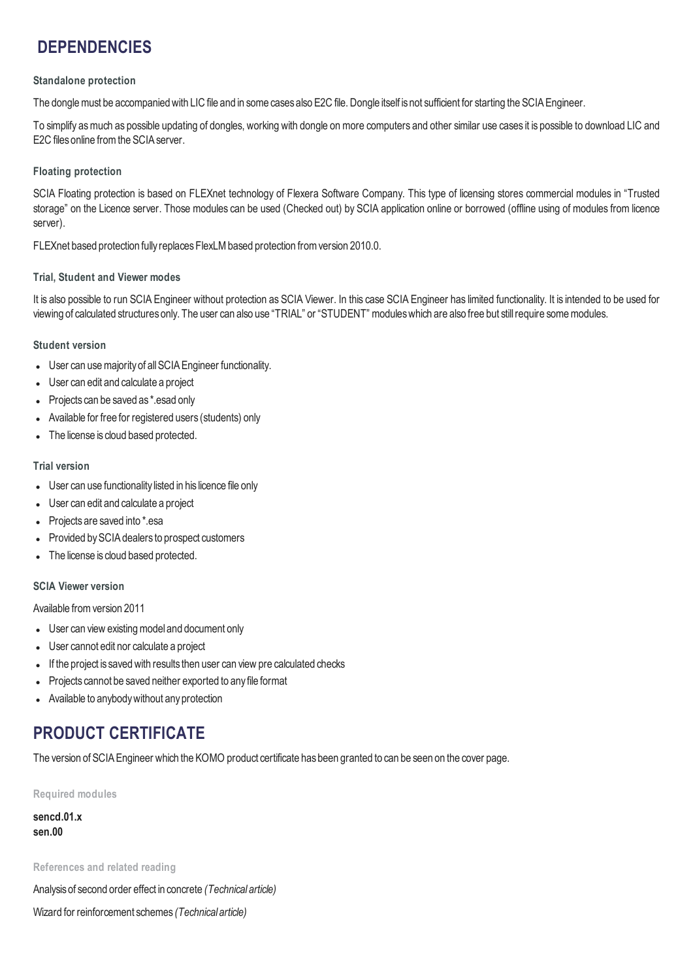# **DEPENDENCIES**

#### **Standalone protection**

The dongle must be accompanied with LIC file and in some cases also E2C file. Dongle itself is not sufficient for starting the SCIA Engineer.

To simplify asmuch as possible updating of dongles, working with dongle on more computers and other similar use cases it is possible to download LIC and E2C files online from the SCIA server.

#### **Floating protection**

SCIA Floating protection is based on FLEXnet technology of Flexera Software Company. This type of licensing stores commercial modules in "Trusted storage" on the Licence server. Those modules can be used (Checked out) by SCIA application online or borrowed (offline using of modules from licence server).

FLEXnet based protection fully replaces FlexLM based protection from version 2010.0.

#### **Trial, Student and Viewer modes**

It is also possible to run SCIA Engineer without protection as SCIA Viewer. In this case SCIA Engineer has limited functionality. It is intended to be used for viewing of calculated structures only. The user can also use "TRIAL" or "STUDENT" modules which are also free but still require some modules.

#### **Student version**

- User can use majority of all SCIA Engineer functionality.
- User can edit and calculate a project
- Projects can be saved as \*.esad only
- Available for free for registered users (students) only
- The license is cloud based protected.

#### **Trial version**

- User can use functionality listed in his licence file only
- User can edit and calculate a project
- Projects are saved into \*.esa
- Provided by SCIA dealers to prospect customers
- The license is cloud based protected.

#### **SCIA Viewer version**

Available fromversion 2011

- User can view existing model and document only
- <sup>l</sup> User cannot edit nor calculate a project
- If the project is saved with results then user can view pre calculated checks
- Projects cannot be saved neither exported to any file format
- Available to anybody without any protection

# **PRODUCT CERTIFICATE**

The version of SCIAEngineer which the KOMO product certificate has been granted to can be seen on the cover page.

**Required modules**

**sencd.01.x sen.00**

**References and related reading**

Analysis of second order effect in concrete *(Technical article)*

Wizard for reinforcement schemes *(Technical article)*